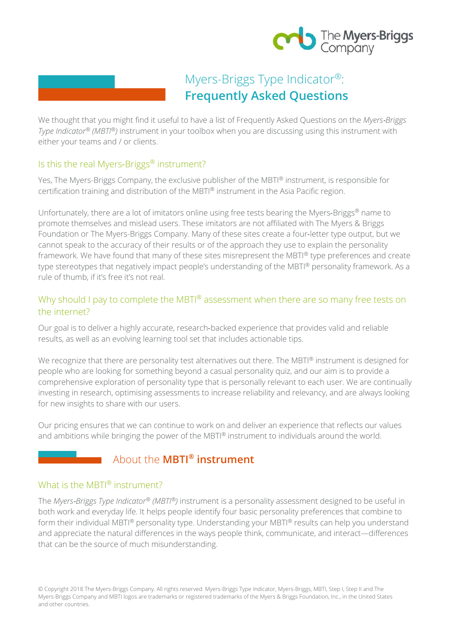

# Myers-Briggs Type Indicator®: **Frequently Asked Questions**

We thought that you might find it useful to have a list of Frequently Asked Questions on the *Myers*‐*Briggs Type Indicator® (MBTI®)* instrument in your toolbox when you are discussing using this instrument with either your teams and / or clients.

### Is this the real Myers-Briggs<sup>®</sup> instrument?

Yes, The Myers-Briggs Company, the exclusive publisher of the MBTI® instrument, is responsible for certification training and distribution of the MBTI® instrument in the Asia Pacific region.

Unfortunately, there are a lot of imitators online using free tests bearing the Myers‐Briggs® name to promote themselves and mislead users. These imitators are not affiliated with The Myers & Briggs Foundation or The Myers-Briggs Company. Many of these sites create a four‐letter type output, but we cannot speak to the accuracy of their results or of the approach they use to explain the personality framework. We have found that many of these sites misrepresent the MBTI® type preferences and create type stereotypes that negatively impact people's understanding of the MBTI® personality framework. As a rule of thumb, if it's free it's not real.

### Why should I pay to complete the MBTI® assessment when there are so many free tests on the internet?

Our goal is to deliver a highly accurate, research‐backed experience that provides valid and reliable results, as well as an evolving learning tool set that includes actionable tips.

We recognize that there are personality test alternatives out there. The MBTI® instrument is designed for people who are looking for something beyond a casual personality quiz, and our aim is to provide a comprehensive exploration of personality type that is personally relevant to each user. We are continually investing in research, optimising assessments to increase reliability and relevancy, and are always looking for new insights to share with our users.

Our pricing ensures that we can continue to work on and deliver an experience that reflects our values and ambitions while bringing the power of the MBTI® instrument to individuals around the world.

# About the **MBTI® instrument**

### What is the MBTI® instrument?

The *Myers*‐*Briggs Type Indicator® (MBTI®)* instrument is a personality assessment designed to be useful in both work and everyday life. It helps people identify four basic personality preferences that combine to form their individual MBTI® personality type. Understanding your MBTI® results can help you understand and appreciate the natural differences in the ways people think, communicate, and interact—differences that can be the source of much misunderstanding.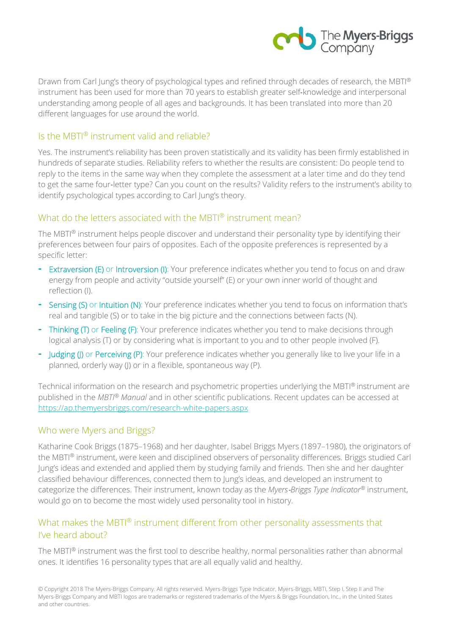

Drawn from Carl Jung's theory of psychological types and refined through decades of research, the MBTI® instrument has been used for more than 70 years to establish greater self‐knowledge and interpersonal understanding among people of all ages and backgrounds. It has been translated into more than 20 different languages for use around the world.

#### Is the MBTI® instrument valid and reliable?

Yes. The instrument's reliability has been proven statistically and its validity has been firmly established in hundreds of separate studies. Reliability refers to whether the results are consistent: Do people tend to reply to the items in the same way when they complete the assessment at a later time and do they tend to get the same four‐letter type? Can you count on the results? Validity refers to the instrument's ability to identify psychological types according to Carl Jung's theory.

### What do the letters associated with the MBTI® instrument mean?

The MBTI® instrument helps people discover and understand their personality type by identifying their preferences between four pairs of opposites. Each of the opposite preferences is represented by a specific letter:

- Extraversion (E) or Introversion (I): Your preference indicates whether you tend to focus on and draw energy from people and activity "outside yourself" (E) or your own inner world of thought and reflection (I).
- **Sensing (S)** or Intuition (N): Your preference indicates whether you tend to focus on information that's real and tangible (S) or to take in the big picture and the connections between facts (N).
- Thinking (T) or Feeling (F): Your preference indicates whether you tend to make decisions through logical analysis (T) or by considering what is important to you and to other people involved (F).
- Judging (I) or Perceiving (P): Your preference indicates whether you generally like to live your life in a planned, orderly way (J) or in a flexible, spontaneous way (P).

Technical information on the research and psychometric properties underlying the MBTI® instrument are published in the *MBTI® Manual* and in other scientific publications. Recent updates can be accessed at https://ap.themyersbriggs.com/research-white-papers.aspx

#### Who were Myers and Briggs?

Katharine Cook Briggs (1875–1968) and her daughter, Isabel Briggs Myers (1897–1980), the originators of the MBTI® instrument, were keen and disciplined observers of personality differences. Briggs studied Carl Jung's ideas and extended and applied them by studying family and friends. Then she and her daughter classified behaviour differences, connected them to Jung's ideas, and developed an instrument to categorize the differences. Their instrument, known today as the *Myers*‐*Briggs Type Indicator®* instrument, would go on to become the most widely used personality tool in history.

### What makes the MBTI® instrument different from other personality assessments that I've heard about?

The MBTI® instrument was the first tool to describe healthy, normal personalities rather than abnormal ones. It identifies 16 personality types that are all equally valid and healthy.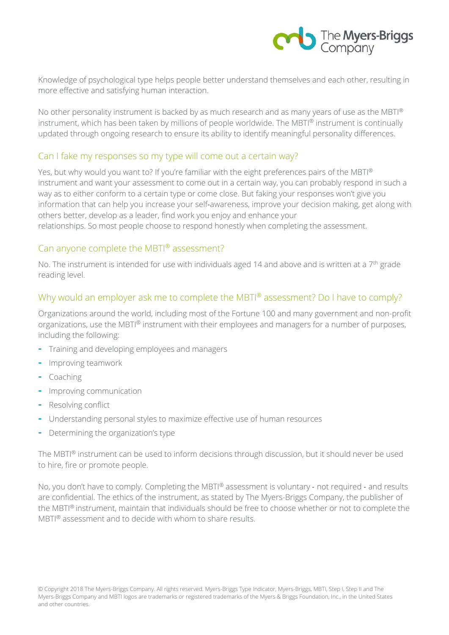

Knowledge of psychological type helps people better understand themselves and each other, resulting in more effective and satisfying human interaction.

No other personality instrument is backed by as much research and as many years of use as the MBTI® instrument, which has been taken by millions of people worldwide. The MBTI® instrument is continually updated through ongoing research to ensure its ability to identify meaningful personality differences.

#### Can I fake my responses so my type will come out a certain way?

Yes, but why would you want to? If you're familiar with the eight preferences pairs of the MBTI® instrument and want your assessment to come out in a certain way, you can probably respond in such a way as to either conform to a certain type or come close. But faking your responses won't give you information that can help you increase your self‐awareness, improve your decision making, get along with others better, develop as a leader, find work you enjoy and enhance your relationships. So most people choose to respond honestly when completing the assessment.

#### Can anyone complete the MBTI® assessment?

No. The instrument is intended for use with individuals aged 14 and above and is written at a  $7<sup>th</sup>$  grade reading level.

### Why would an employer ask me to complete the MBTI® assessment? Do I have to comply?

Organizations around the world, including most of the Fortune 100 and many government and non-profit organizations, use the MBTI® instrument with their employees and managers for a number of purposes, including the following:

- Training and developing employees and managers
- Improving teamwork
- Coaching
- Improving communication
- Resolving conflict
- Understanding personal styles to maximize effective use of human resources
- Determining the organization's type

The MBTI® instrument can be used to inform decisions through discussion, but it should never be used to hire, fire or promote people.

No, you don't have to comply. Completing the MBTI® assessment is voluntary - not required - and results are confidential. The ethics of the instrument, as stated by The Myers-Briggs Company, the publisher of the MBTI® instrument, maintain that individuals should be free to choose whether or not to complete the MBTI® assessment and to decide with whom to share results.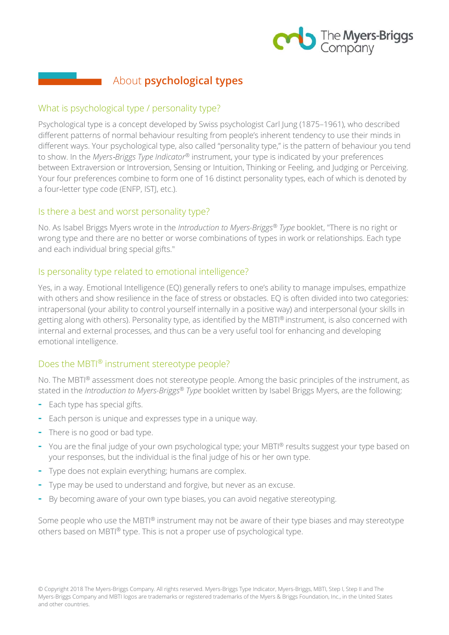

# About **psychological types**

### What is psychological type / personality type?

Psychological type is a concept developed by Swiss psychologist Carl Jung (1875–1961), who described different patterns of normal behaviour resulting from people's inherent tendency to use their minds in different ways. Your psychological type, also called "personality type," is the pattern of behaviour you tend to show. In the *Myers*‐*Briggs Type Indicator®* instrument, your type is indicated by your preferences between Extraversion or Introversion, Sensing or Intuition, Thinking or Feeling, and Judging or Perceiving. Your four preferences combine to form one of 16 distinct personality types, each of which is denoted by a four‐letter type code (ENFP, ISTJ, etc.).

#### Is there a best and worst personality type?

No. As Isabel Briggs Myers wrote in the *Introduction to Myers-Briggs® Type* booklet, "There is no right or wrong type and there are no better or worse combinations of types in work or relationships. Each type and each individual bring special gifts."

### Is personality type related to emotional intelligence?

Yes, in a way. Emotional Intelligence (EQ) generally refers to one's ability to manage impulses, empathize with others and show resilience in the face of stress or obstacles. EQ is often divided into two categories: intrapersonal (your ability to control yourself internally in a positive way) and interpersonal (your skills in getting along with others). Personality type, as identified by the MBTI® instrument, is also concerned with internal and external processes, and thus can be a very useful tool for enhancing and developing emotional intelligence.

### Does the MBTI® instrument stereotype people?

No. The MBTI® assessment does not stereotype people. Among the basic principles of the instrument, as stated in the *Introduction to Myers-Briggs® Type* booklet written by Isabel Briggs Myers, are the following:

- Each type has special gifts.
- Each person is unique and expresses type in a unique way.
- There is no good or bad type.
- You are the final judge of your own psychological type; your MBTI® results suggest your type based on your responses, but the individual is the final judge of his or her own type.
- Type does not explain everything; humans are complex.
- Type may be used to understand and forgive, but never as an excuse.
- By becoming aware of your own type biases, you can avoid negative stereotyping.

Some people who use the MBTI® instrument may not be aware of their type biases and may stereotype others based on MBTI® type. This is not a proper use of psychological type.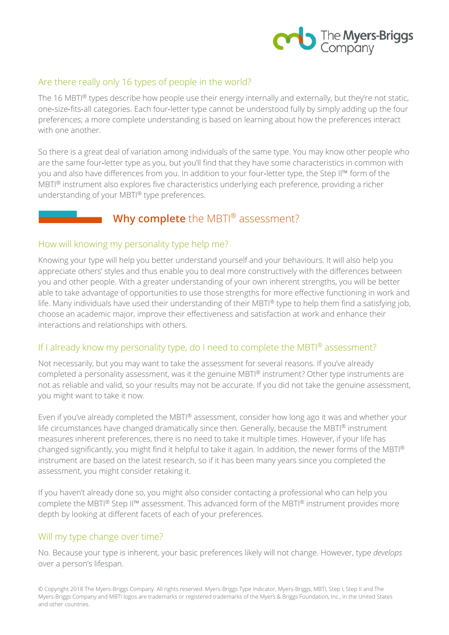

### Are there really only 16 types of people in the world?

The 16 MBTI® types describe how people use their energy internally and externally, but they're not static, one‐size‐fits‐all categories. Each four‐letter type cannot be understood fully by simply adding up the four preferences; a more complete understanding is based on learning about how the preferences interact with one another

So there is a great deal of variation among individuals of the same type. You may know other people who are the same four‐letter type as you, but you'll find that they have some characteristics in common with you and also have differences from you. In addition to your four-letter type, the Step II™ form of the MBTI® instrument also explores five characteristics underlying each preference, providing a richer understanding of your MBTI® type preferences.

### **Why complete** the MBTI® assessment?

#### How will knowing my personality type help me?

Knowing your type will help you better understand yourself and your behaviours. It will also help you appreciate others' styles and thus enable you to deal more constructively with the differences between you and other people. With a greater understanding of your own inherent strengths, you will be better able to take advantage of opportunities to use those strengths for more effective functioning in work and life. Many individuals have used their understanding of their MBTI® type to help them find a satisfying job, choose an academic major, improve their effectiveness and satisfaction at work and enhance their interactions and relationships with others.

### If I already know my personality type, do I need to complete the MBTI® assessment?

Not necessarily, but you may want to take the assessment for several reasons. If you've already completed a personality assessment, was it the genuine MBTI® instrument? Other type instruments are not as reliable and valid, so your results may not be accurate. If you did not take the genuine assessment, you might want to take it now.

Even if you've already completed the MBTI® assessment, consider how long ago it was and whether your life circumstances have changed dramatically since then. Generally, because the MBTI® instrument measures inherent preferences, there is no need to take it multiple times. However, if your life has changed significantly, you might find it helpful to take it again. In addition, the newer forms of the MBTI® instrument are based on the latest research, so if it has been many years since you completed the assessment, you might consider retaking it.

If you haven't already done so, you might also consider contacting a professional who can help you complete the MBTI® Step II™ assessment. This advanced form of the MBTI® instrument provides more depth by looking at different facets of each of your preferences.

#### Will my type change over time?

No. Because your type is inherent, your basic preferences likely will not change. However, type *develops*  over a person's lifespan.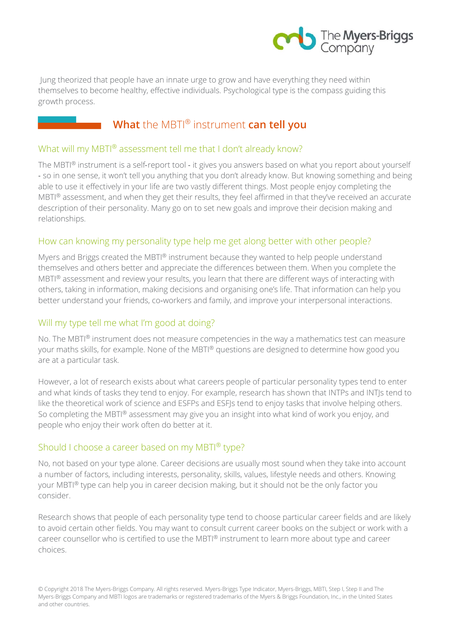

 Jung theorized that people have an innate urge to grow and have everything they need within themselves to become healthy, effective individuals. Psychological type is the compass guiding this growth process.

# **What** the MBTI® instrument **can tell you**

### What will my MBTI® assessment tell me that I don't already know?

The MBTI® instrument is a self-report tool - it gives you answers based on what you report about yourself ‐ so in one sense, it won't tell you anything that you don't already know. But knowing something and being able to use it effectively in your life are two vastly different things. Most people enjoy completing the MBTI® assessment, and when they get their results, they feel affirmed in that they've received an accurate description of their personality. Many go on to set new goals and improve their decision making and relationships.

### How can knowing my personality type help me get along better with other people?

Myers and Briggs created the MBTI® instrument because they wanted to help people understand themselves and others better and appreciate the differences between them. When you complete the MBTI® assessment and review your results, you learn that there are different ways of interacting with others, taking in information, making decisions and organising one's life. That information can help you better understand your friends, co-workers and family, and improve your interpersonal interactions.

### Will my type tell me what I'm good at doing?

No. The MBTI® instrument does not measure competencies in the way a mathematics test can measure your maths skills, for example. None of the MBTI® questions are designed to determine how good you are at a particular task.

However, a lot of research exists about what careers people of particular personality types tend to enter and what kinds of tasks they tend to enjoy. For example, research has shown that INTPs and INTJs tend to like the theoretical work of science and ESFPs and ESFJs tend to enjoy tasks that involve helping others. So completing the MBTI® assessment may give you an insight into what kind of work you enjoy, and people who enjoy their work often do better at it.

### Should I choose a career based on my MBTI® type?

No, not based on your type alone. Career decisions are usually most sound when they take into account a number of factors, including interests, personality, skills, values, lifestyle needs and others. Knowing your MBTI® type can help you in career decision making, but it should not be the only factor you consider.

Research shows that people of each personality type tend to choose particular career fields and are likely to avoid certain other fields. You may want to consult current career books on the subject or work with a career counsellor who is certified to use the MBTI® instrument to learn more about type and career choices.